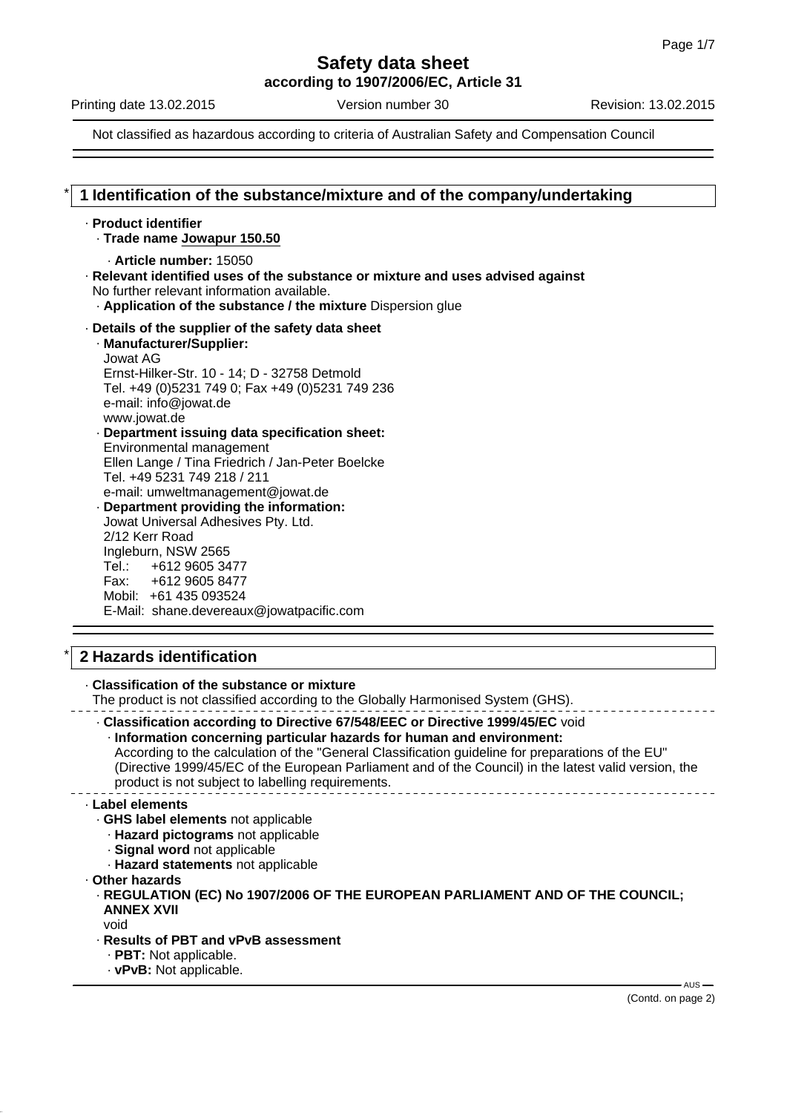**according to 1907/2006/EC, Article 31**

Printing date 13.02.2015 **Version number 30** Revision: 13.02.2015

Not classified as hazardous according to criteria of Australian Safety and Compensation Council

## \* **1 Identification of the substance/mixture and of the company/undertaking**

#### · **Product identifier**

· **Trade name Jowapur 150.50**

```
· Article number: 15050
```
· **Relevant identified uses of the substance or mixture and uses advised against** No further relevant information available.

· **Application of the substance / the mixture** Dispersion glue

## · **Details of the supplier of the safety data sheet**

· **Manufacturer/Supplier:** Jowat AG Ernst-Hilker-Str. 10 - 14; D - 32758 Detmold Tel. +49 (0)5231 749 0; Fax +49 (0)5231 749 236 e-mail: info@jowat.de www.jowat.de

#### · **Department issuing data specification sheet:** Environmental management Ellen Lange / Tina Friedrich / Jan-Peter Boelcke Tel. +49 5231 749 218 / 211 e-mail: umweltmanagement@jowat.de

· **Department providing the information:** Jowat Universal Adhesives Pty. Ltd. 2/12 Kerr Road Ingleburn, NSW 2565 Tel.: +612 9605 3477 Fax: +612 9605 8477 Mobil: +61 435 093524 E-Mail: shane.devereaux@jowatpacific.com

## \* **2 Hazards identification**

#### · **Classification of the substance or mixture**

The product is not classified according to the Globally Harmonised System (GHS).

· **Classification according to Directive 67/548/EEC or Directive 1999/45/EC** void · **Information concerning particular hazards for human and environment:** According to the calculation of the "General Classification guideline for preparations of the EU" (Directive 1999/45/EC of the European Parliament and of the Council) in the latest valid version, the product is not subject to labelling requirements.

#### · **Label elements**

- · **GHS label elements** not applicable
	- · **Hazard pictograms** not applicable
	- · **Signal word** not applicable
	- · **Hazard statements** not applicable

· **Other hazards**

· **REGULATION (EC) No 1907/2006 OF THE EUROPEAN PARLIAMENT AND OF THE COUNCIL; ANNEX XVII**

void

- · **Results of PBT and vPvB assessment**
	- · **PBT:** Not applicable.
	- · **vPvB:** Not applicable.

 $-$  AUS  $-$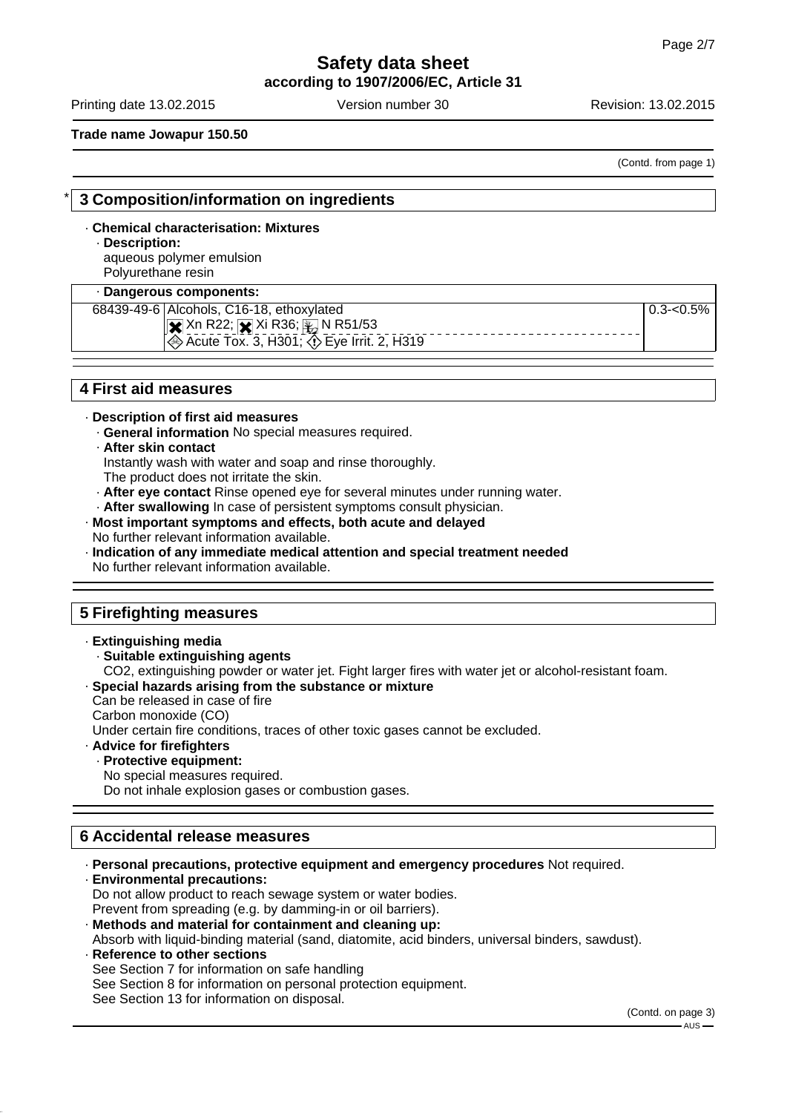**according to 1907/2006/EC, Article 31**

Printing date 13.02.2015 **Version number 30** Revision: 13.02.2015

#### **Trade name Jowapur 150.50**

(Contd. from page 1)

## \* **3 Composition/information on ingredients**

## · **Chemical characterisation: Mixtures**

#### · **Description:**

aqueous polymer emulsion Polyurethane resin

#### · **Dangerous components:**

68439-49-6 Alcohols, C16-18, ethoxylated

 $\overline{\mathbf{x}}$  Xn R22;  $\overline{\mathbf{x}}$  Xi R36;  $\overline{\mathbf{x}}$  N R51/53

 $0.3 - 0.5%$ 

## Acute Tox. 3, H301; Eye Irrit. 2, H319

## **4 First aid measures**

### · **Description of first aid measures**

· **General information** No special measures required.

#### · **After skin contact**

Instantly wash with water and soap and rinse thoroughly.

The product does not irritate the skin.

· **After eye contact** Rinse opened eye for several minutes under running water.

· **After swallowing** In case of persistent symptoms consult physician.

#### · **Most important symptoms and effects, both acute and delayed** No further relevant information available.

· **Indication of any immediate medical attention and special treatment needed** No further relevant information available.

## **5 Firefighting measures**

#### · **Extinguishing media**

- · **Suitable extinguishing agents**
- CO2, extinguishing powder or water jet. Fight larger fires with water jet or alcohol-resistant foam.

## · **Special hazards arising from the substance or mixture**

Can be released in case of fire

Carbon monoxide (CO)

Under certain fire conditions, traces of other toxic gases cannot be excluded.

## · **Advice for firefighters**

## · **Protective equipment:**

No special measures required.

Do not inhale explosion gases or combustion gases.

## **6 Accidental release measures**

- · **Personal precautions, protective equipment and emergency procedures** Not required. · **Environmental precautions:**
- Do not allow product to reach sewage system or water bodies. Prevent from spreading (e.g. by damming-in or oil barriers).
- · **Methods and material for containment and cleaning up:**

Absorb with liquid-binding material (sand, diatomite, acid binders, universal binders, sawdust).

· **Reference to other sections** See Section 7 for information on safe handling See Section 8 for information on personal protection equipment. See Section 13 for information on disposal.

(Contd. on page 3)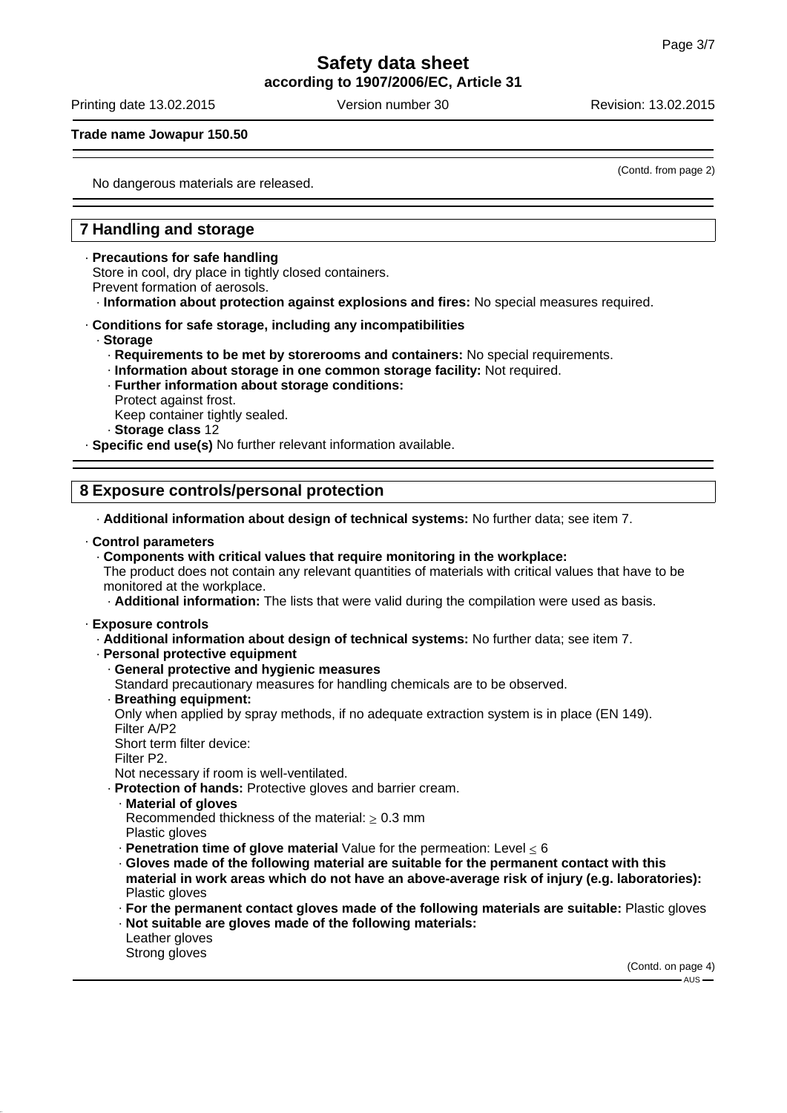**according to 1907/2006/EC, Article 31**

Printing date 13.02.2015 **Version number 30** Revision: 13.02.2015

**Trade name Jowapur 150.50**

(Contd. from page 2)

No dangerous materials are released.

## **7 Handling and storage**

#### · **Precautions for safe handling**

Store in cool, dry place in tightly closed containers.

Prevent formation of aerosols.

· **Information about protection against explosions and fires:** No special measures required.

#### · **Conditions for safe storage, including any incompatibilities**

- · **Storage**
	- · **Requirements to be met by storerooms and containers:** No special requirements.
	- · **Information about storage in one common storage facility:** Not required.
	- · **Further information about storage conditions:**
	- Protect against frost.
	- Keep container tightly sealed.
	- · **Storage class** 12

· **Specific end use(s)** No further relevant information available.

## **8 Exposure controls/personal protection**

· **Additional information about design of technical systems:** No further data; see item 7.

#### · **Control parameters**

#### · **Components with critical values that require monitoring in the workplace:**

The product does not contain any relevant quantities of materials with critical values that have to be monitored at the workplace.

· **Additional information:** The lists that were valid during the compilation were used as basis.

· **Exposure controls**

· **Additional information about design of technical systems:** No further data; see item 7.

· **Personal protective equipment**

#### · **General protective and hygienic measures**

Standard precautionary measures for handling chemicals are to be observed.

· **Breathing equipment:**

Only when applied by spray methods, if no adequate extraction system is in place (EN 149). Filter A/P2

Short term filter device:

Filter P2.

Not necessary if room is well-ventilated.

· **Protection of hands:** Protective gloves and barrier cream.

- · **Material of gloves**
- Recommended thickness of the material:  $> 0.3$  mm
- Plastic gloves
- $\cdot$  **Penetration time of glove material** Value for the permeation: Level  $\leq 6$
- · **Gloves made of the following material are suitable for the permanent contact with this material in work areas which do not have an above-average risk of injury (e.g. laboratories):** Plastic gloves

· **For the permanent contact gloves made of the following materials are suitable:** Plastic gloves

- · **Not suitable are gloves made of the following materials:** Leather gloves
- Strong gloves

(Contd. on page 4) AUS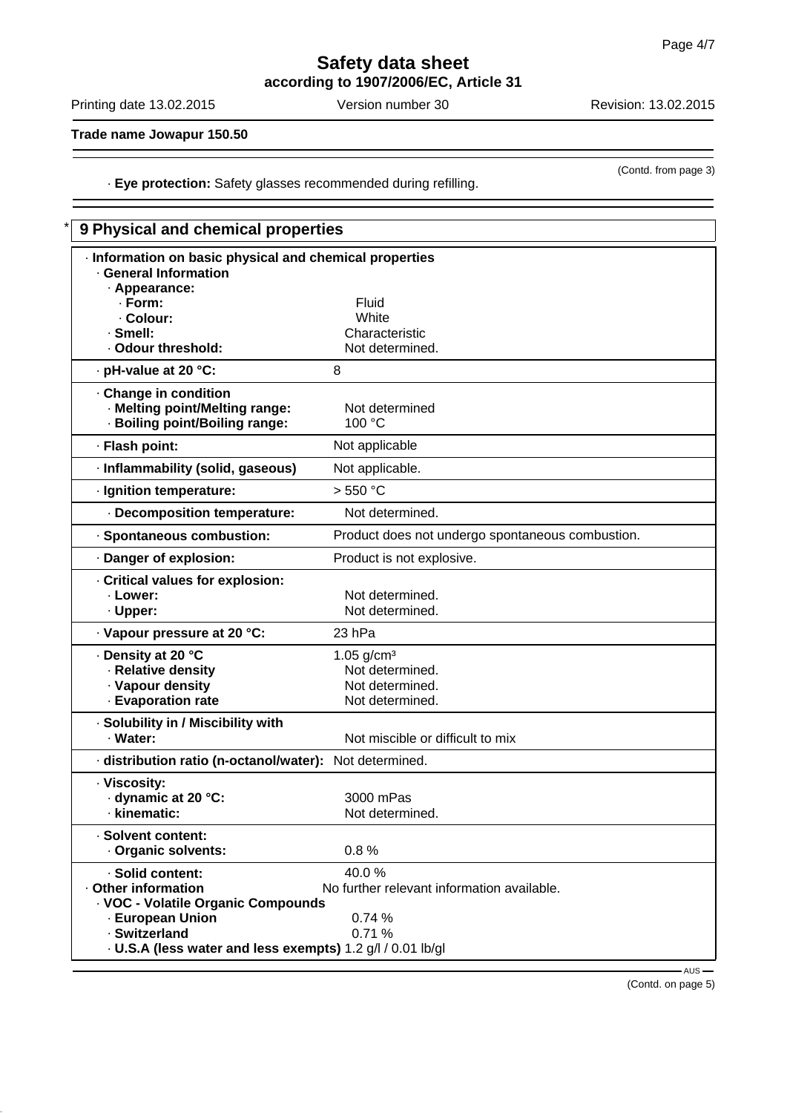## **Safety data sheet according to 1907/2006/EC, Article 31**

Printing date 13.02.2015 Version number 30 Revision: 13.02.2015

(Contd. from page 3)

**Trade name Jowapur 150.50**

· **Eye protection:** Safety glasses recommended during refilling.

| 9 Physical and chemical properties                                                        |                                                  |  |
|-------------------------------------------------------------------------------------------|--------------------------------------------------|--|
| · Information on basic physical and chemical properties<br><b>General Information</b>     |                                                  |  |
| · Appearance:<br>$\cdot$ Form:                                                            | Fluid                                            |  |
| · Colour:                                                                                 | White                                            |  |
| · Smell:                                                                                  | Characteristic                                   |  |
| · Odour threshold:                                                                        | Not determined.                                  |  |
| · pH-value at 20 °C:                                                                      | 8                                                |  |
| · Change in condition<br>· Melting point/Melting range:<br>· Boiling point/Boiling range: | Not determined<br>100 °C                         |  |
| · Flash point:                                                                            | Not applicable                                   |  |
| · Inflammability (solid, gaseous)                                                         | Not applicable.                                  |  |
| · Ignition temperature:                                                                   | > 550 °C                                         |  |
| · Decomposition temperature:                                                              | Not determined.                                  |  |
| · Spontaneous combustion:                                                                 | Product does not undergo spontaneous combustion. |  |
| Danger of explosion:                                                                      | Product is not explosive.                        |  |
| Critical values for explosion:<br>· Lower:<br>· Upper:                                    | Not determined.<br>Not determined.               |  |
| · Vapour pressure at 20 °C:                                                               | 23 hPa                                           |  |
| ⋅ Density at 20 °C                                                                        | 1.05 $g/cm3$                                     |  |
| · Relative density                                                                        | Not determined.                                  |  |
| · Vapour density                                                                          | Not determined.                                  |  |
| - Evaporation rate                                                                        | Not determined.                                  |  |
| · Solubility in / Miscibility with<br>· Water:                                            | Not miscible or difficult to mix                 |  |
| distribution ratio (n-octanol/water):                                                     | Not determined.                                  |  |
| · Viscosity:<br>dynamic at 20 °C:<br>· kinematic:                                         | 3000 mPas<br>Not determined.                     |  |
| · Solvent content:<br>· Organic solvents:                                                 | 0.8%                                             |  |
| · Solid content:                                                                          | 40.0%                                            |  |
| Other information<br>· VOC - Volatile Organic Compounds                                   | No further relevant information available.       |  |
| · European Union                                                                          | 0.74%                                            |  |
| · Switzerland                                                                             | 0.71%                                            |  |
| . U.S.A (less water and less exempts) 1.2 g/l / 0.01 lb/gl                                |                                                  |  |
|                                                                                           | AUS-                                             |  |

(Contd. on page 5)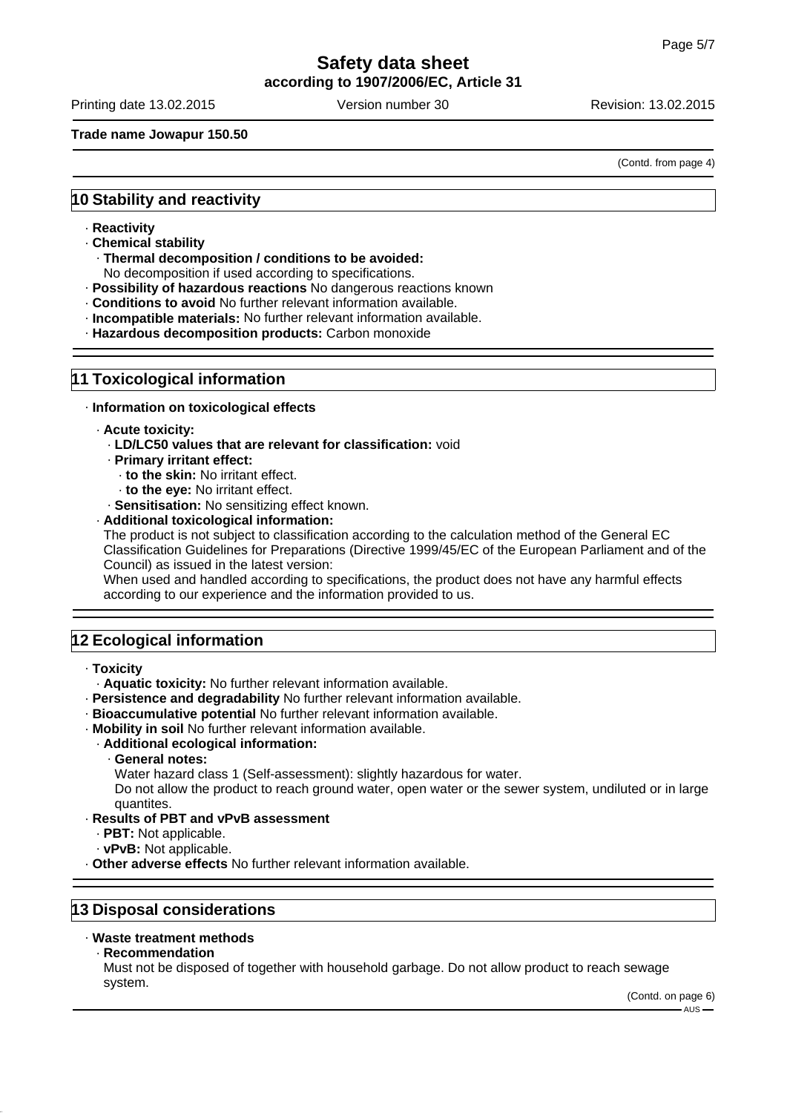**according to 1907/2006/EC, Article 31**

Printing date 13.02.2015 **Version number 30** Revision: 13.02.2015

**Trade name Jowapur 150.50**

(Contd. from page 4)

## **10 Stability and reactivity**

- · **Reactivity**
- · **Chemical stability**
	- · **Thermal decomposition / conditions to be avoided:**
- No decomposition if used according to specifications.
- · **Possibility of hazardous reactions** No dangerous reactions known
- · **Conditions to avoid** No further relevant information available.
- · **Incompatible materials:** No further relevant information available.
- · **Hazardous decomposition products:** Carbon monoxide

### **11 Toxicological information**

· **Information on toxicological effects**

- · **Acute toxicity:**
	- · **LD/LC50 values that are relevant for classification:** void
	- · **Primary irritant effect:**
		- · **to the skin:** No irritant effect.
		- · **to the eye:** No irritant effect.
	- · **Sensitisation:** No sensitizing effect known.
- · **Additional toxicological information:**

The product is not subject to classification according to the calculation method of the General EC Classification Guidelines for Preparations (Directive 1999/45/EC of the European Parliament and of the Council) as issued in the latest version:

When used and handled according to specifications, the product does not have any harmful effects according to our experience and the information provided to us.

## **12 Ecological information**

- · **Toxicity**
	- · **Aquatic toxicity:** No further relevant information available.
- · **Persistence and degradability** No further relevant information available.
- · **Bioaccumulative potential** No further relevant information available.
- · **Mobility in soil** No further relevant information available.
	- · **Additional ecological information:**
		- · **General notes:**
			- Water hazard class 1 (Self-assessment): slightly hazardous for water.

Do not allow the product to reach ground water, open water or the sewer system, undiluted or in large quantites.

- · **Results of PBT and vPvB assessment**
	- · **PBT:** Not applicable.
	- · **vPvB:** Not applicable.
- · **Other adverse effects** No further relevant information available.

## **13 Disposal considerations**

#### · **Waste treatment methods**

· **Recommendation**

Must not be disposed of together with household garbage. Do not allow product to reach sewage system.

(Contd. on page 6)  $- AUS -$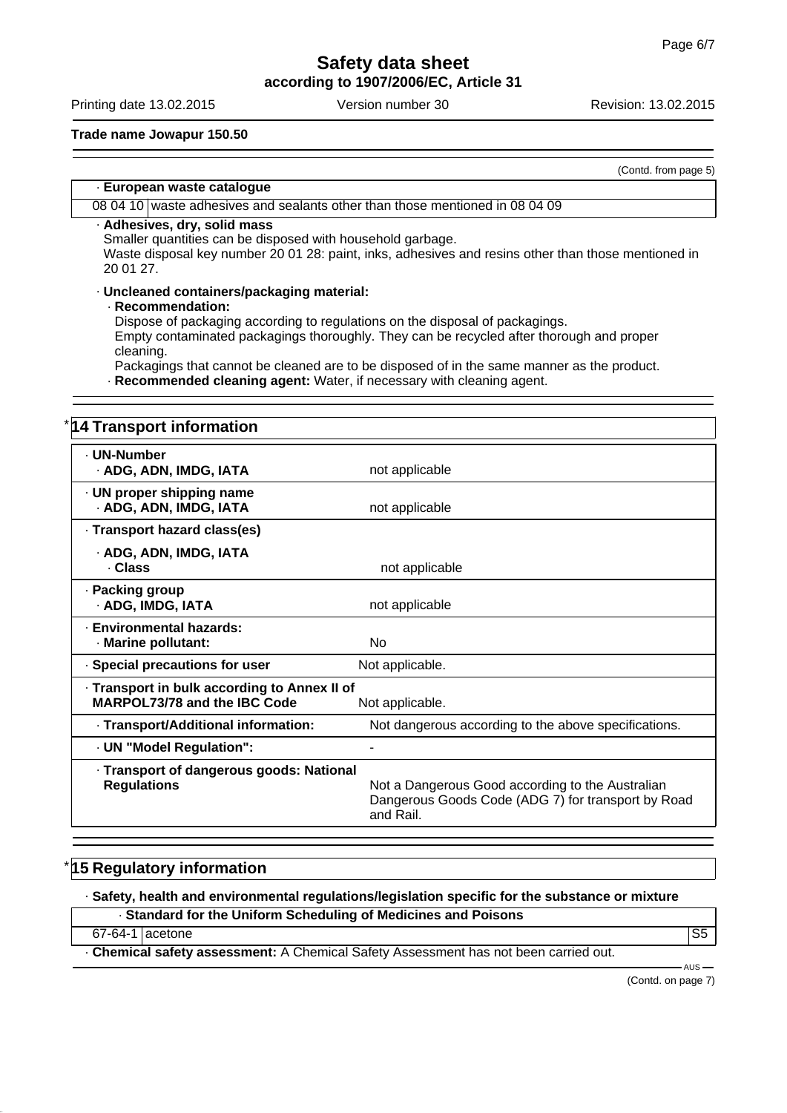**according to 1907/2006/EC, Article 31**

Printing date 13.02.2015 **Version number 30** Revision: 13.02.2015

## **Trade name Jowapur 150.50**

(Contd. from page 5)

## · **European waste catalogue**

## 08 04 10 waste adhesives and sealants other than those mentioned in 08 04 09

### · **Adhesives, dry, solid mass**

Smaller quantities can be disposed with household garbage.

Waste disposal key number 20 01 28: paint, inks, adhesives and resins other than those mentioned in 20 01 27.

#### · **Uncleaned containers/packaging material:**

#### · **Recommendation:**

Dispose of packaging according to regulations on the disposal of packagings. Empty contaminated packagings thoroughly. They can be recycled after thorough and proper cleaning.

Packagings that cannot be cleaned are to be disposed of in the same manner as the product. · **Recommended cleaning agent:** Water, if necessary with cleaning agent.

| 14 Transport information                                                                      |                                                                                                                     |
|-----------------------------------------------------------------------------------------------|---------------------------------------------------------------------------------------------------------------------|
| · UN-Number<br>· ADG, ADN, IMDG, IATA                                                         | not applicable                                                                                                      |
| · UN proper shipping name<br>· ADG, ADN, IMDG, IATA                                           | not applicable                                                                                                      |
| · Transport hazard class(es)                                                                  |                                                                                                                     |
| · ADG, ADN, IMDG, IATA<br>. Class                                                             | not applicable                                                                                                      |
| · Packing group<br>· ADG, IMDG, IATA                                                          | not applicable                                                                                                      |
| - Environmental hazards:<br>· Marine pollutant:                                               | <b>No</b>                                                                                                           |
| · Special precautions for user                                                                | Not applicable.                                                                                                     |
| Transport in bulk according to Annex II of<br>MARPOL73/78 and the IBC Code<br>Not applicable. |                                                                                                                     |
| · Transport/Additional information:                                                           | Not dangerous according to the above specifications.                                                                |
| - UN "Model Regulation":                                                                      |                                                                                                                     |
| · Transport of dangerous goods: National<br><b>Regulations</b>                                | Not a Dangerous Good according to the Australian<br>Dangerous Goods Code (ADG 7) for transport by Road<br>and Rail. |

## **15 Regulatory information**

· **Safety, health and environmental regulations/legislation specific for the substance or mixture**

· **Standard for the Uniform Scheduling of Medicines and Poisons**

#### 67-64-1 acetone S55

· **Chemical safety assessment:** A Chemical Safety Assessment has not been carried out.

 $-AUS$ (Contd. on page 7)